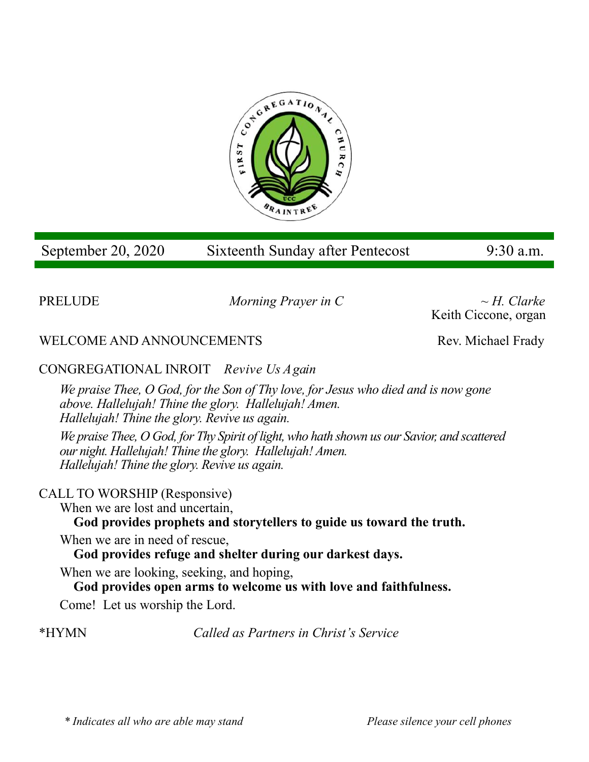

September 20, 2020 Sixteenth Sunday after Pentecost 9:30 a.m.

PRELUDE *Morning Prayer in C ~ H. Clarke*

Keith Ciccone, organ

## WELCOME AND ANNOUNCEMENTS Rev. Michael Frady

CONGREGATIONAL INROIT *Revive Us Again*

*We praise Thee, O God, for the Son of Thy love, for Jesus who died and is now gone above. Hallelujah! Thine the glory. Hallelujah! Amen. Hallelujah! Thine the glory. Revive us again.*

*We praise Thee, O God, for Thy Spirit of light, who hath shown us our Savior, and scattered our night. Hallelujah! Thine the glory. Hallelujah! Amen. Hallelujah! Thine the glory. Revive us again.*

## CALL TO WORSHIP (Responsive)

When we are lost and uncertain,

# **God provides prophets and storytellers to guide us toward the truth.**

When we are in need of rescue,

## **God provides refuge and shelter during our darkest days.**

When we are looking, seeking, and hoping,

## **God provides open arms to welcome us with love and faithfulness.**

Come! Let us worship the Lord.

\*HYMN *Called as Partners in Christ's Service*

*\* Indicates all who are able may stand Please silence your cell phones*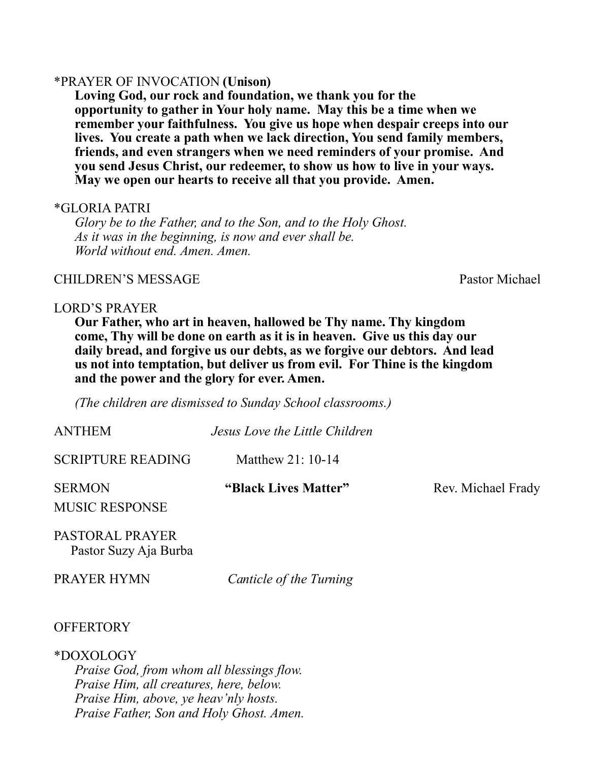### \*PRAYER OF INVOCATION **(Unison)**

**Loving God, our rock and foundation, we thank you for the opportunity to gather in Your holy name. May this be a time when we remember your faithfulness. You give us hope when despair creeps into our lives. You create a path when we lack direction, You send family members, friends, and even strangers when we need reminders of your promise. And you send Jesus Christ, our redeemer, to show us how to live in your ways. May we open our hearts to receive all that you provide. Amen.**

#### \*GLORIA PATRI

*Glory be to the Father, and to the Son, and to the Holy Ghost. As it was in the beginning, is now and ever shall be. World without end. Amen. Amen.* 

### CHILDREN'S MESSAGE Pastor Michael

#### LORD'S PRAYER

**Our Father, who art in heaven, hallowed be Thy name. Thy kingdom come, Thy will be done on earth as it is in heaven. Give us this day our daily bread, and forgive us our debts, as we forgive our debtors. And lead us not into temptation, but deliver us from evil. For Thine is the kingdom and the power and the glory for ever. Amen.**

*(The children are dismissed to Sunday School classrooms.)*

| ANTHEM                                   | Jesus Love the Little Children |                    |
|------------------------------------------|--------------------------------|--------------------|
| <b>SCRIPTURE READING</b>                 | Matthew $21:10-14$             |                    |
| <b>SERMON</b><br>MUSIC RESPONSE          | "Black Lives Matter"           | Rev. Michael Frady |
| PASTORAL PRAYER<br>Pastor Suzy Aja Burba |                                |                    |

PRAYER HYMN *Canticle of the Turning*

#### **OFFERTORY**

#### \*DOXOLOGY

*Praise God, from whom all blessings flow. Praise Him, all creatures, here, below. Praise Him, above, ye heav'nly hosts. Praise Father, Son and Holy Ghost. Amen.*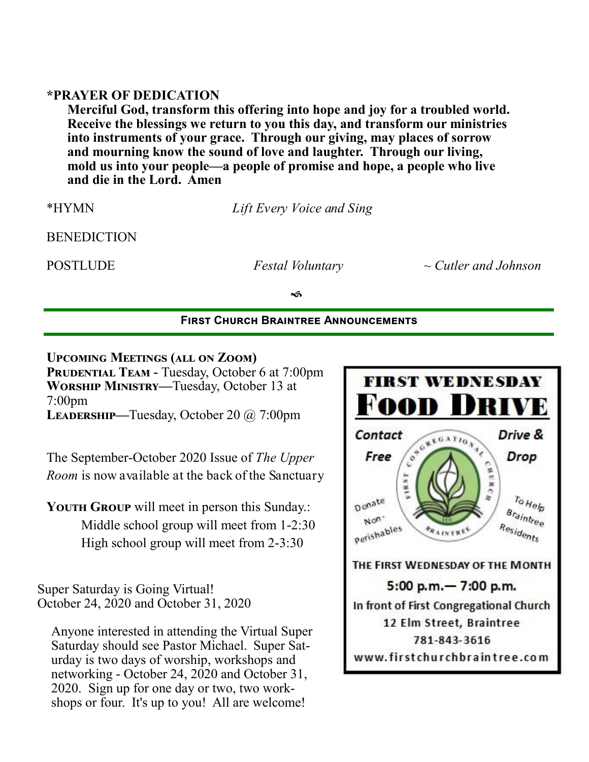### **\*PRAYER OF DEDICATION**

**Merciful God, transform this offering into hope and joy for a troubled world. Receive the blessings we return to you this day, and transform our ministries into instruments of your grace. Through our giving, may places of sorrow and mourning know the sound of love and laughter. Through our living, mold us into your people—a people of promise and hope, a people who live and die in the Lord. Amen**

\*HYMN *Lift Every Voice and Sing*

**BENEDICTION** 

POSTLUDE *Festal Voluntary* ~ *Cutler and Johnson*

۰Â

### **First Church Braintree Announcements**

**Upcoming Meetings (all on Zoom) PRUDENTIAL TEAM - Tuesday, October 6 at 7:00pm Worship Ministry—**Tuesday, October 13 at 7:00pm **Leadership—**Tuesday, October 20 @ 7:00pm

The September-October 2020 Issue of *The Upper Room* is now available at the back of the Sanctuary

**YOUTH GROUP** will meet in person this Sunday.: Middle school group will meet from 1-2:30 High school group will meet from 2-3:30

Super Saturday is Going Virtual! October 24, 2020 and October 31, 2020

Anyone interested in attending the Virtual Super Saturday should see Pastor Michael. Super Saturday is two days of worship, workshops and networking - October 24, 2020 and October 31, 2020. Sign up for one day or two, two workshops or four. It's up to you! All are welcome!